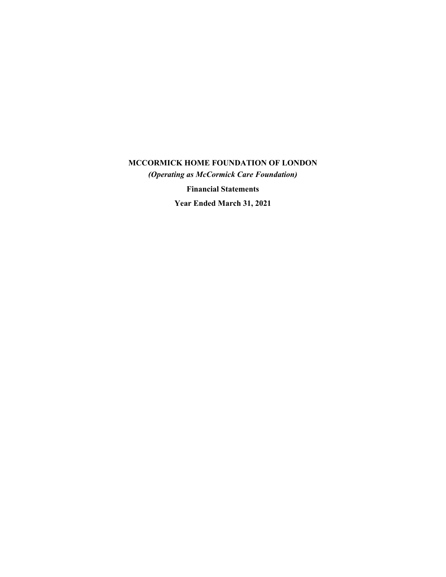# **MCCORMICK HOME FOUNDATION OF LONDON**

*(Operating as McCormick Care Foundation)*

**Financial Statements**

**Year Ended March 31, 2021**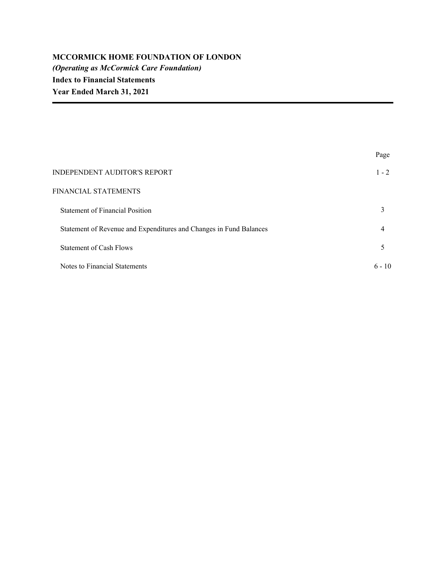|                                                                    | Page     |
|--------------------------------------------------------------------|----------|
| <b>INDEPENDENT AUDITOR'S REPORT</b>                                | $1 - 2$  |
| FINANCIAL STATEMENTS                                               |          |
| <b>Statement of Financial Position</b>                             | 3        |
| Statement of Revenue and Expenditures and Changes in Fund Balances | 4        |
| Statement of Cash Flows                                            | 5        |
| Notes to Financial Statements                                      | $6 - 10$ |
|                                                                    |          |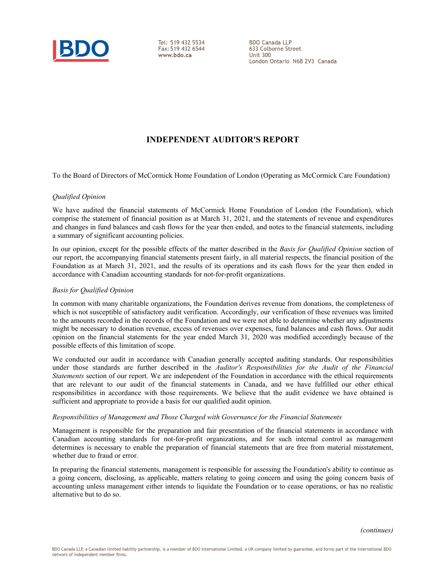

Tel: 519 432 5534 Fax: 519 432 6544 www.bdo.ca

**BDO Canada LLP** 633 Colborne Street Unit  $300$ London Ontario N6B 2V3 Canada

## **INDEPENDENT AUDITOR'S REPORT**

To the Board of Directors of McCormick Home Foundation of London (Operating as McCormick Care Foundation)

## *Qualified Opinion*

We have audited the financial statements of McCormick Home Foundation of London (the Foundation), which comprise the statement of financial position as at March 31, 2021, and the statements of revenue and expenditures and changes in fund balances and cash flows for the year then ended, and notes to the financial statements, including a summary of significant accounting policies.

In our opinion, except for the possible effects of the matter described in the *Basis for Qualified Opinion* section of our report, the accompanying financial statements present fairly, in all material respects, the financial position of the Foundation as at March 31, 2021, and the results of its operations and its cash flows for the year then ended in accordance with Canadian accounting standards for not-for-profit organizations.

## *Basis for Qualified Opinion*

In common with many charitable organizations, the Foundation derives revenue from donations, the completeness of which is not susceptible of satisfactory audit verification. Accordingly, our verification of these revenues was limited to the amounts recorded in the records of the Foundation and we were not able to determine whether any adjustments might be necessary to donation revenue, excess of revenues over expenses, fund balances and cash flows. Our audit opinion on the financial statements for the year ended March 31, 2020 was modified accordingly because of the possible effects of this limitation of scope.

We conducted our audit in accordance with Canadian generally accepted auditing standards. Our responsibilities under those standards are further described in the *Auditor's Responsibilities for the Audit of the Financial Statements* section of our report. We are independent of the Foundation in accordance with the ethical requirements that are relevant to our audit of the financial statements in Canada, and we have fulfilled our other ethical responsibilities in accordance with those requirements. We believe that the audit evidence we have obtained is sufficient and appropriate to provide a basis for our qualified audit opinion.

## *Responsibilities of Management and Those Charged with Governance for the Financial Statements*

Management is responsible for the preparation and fair presentation of the financial statements in accordance with Canadian accounting standards for not-for-profit organizations, and for such internal control as management determines is necessary to enable the preparation of financial statements that are free from material misstatement, whether due to fraud or error.

In preparing the financial statements, management is responsible for assessing the Foundation's ability to continue as a going concern, disclosing, as applicable, matters relating to going concern and using the going concern basis of accounting unless management either intends to liquidate the Foundation or to cease operations, or has no realistic alternative but to do so.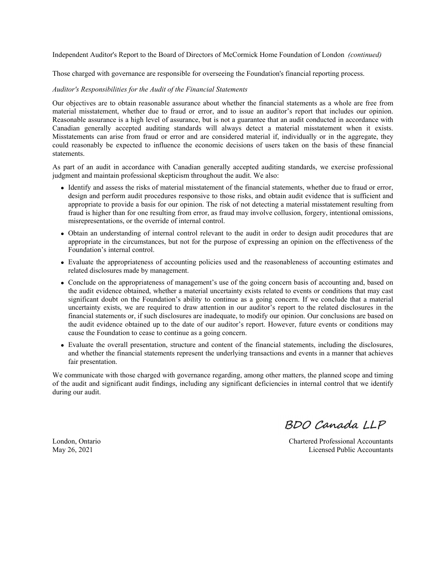Independent Auditor's Report to the Board of Directors of McCormick Home Foundation of London *(continued)*

Those charged with governance are responsible for overseeing the Foundation's financial reporting process.

#### *Auditor's Responsibilities for the Audit of the Financial Statements*

Our objectives are to obtain reasonable assurance about whether the financial statements as a whole are free from material misstatement, whether due to fraud or error, and to issue an auditor's report that includes our opinion. Reasonable assurance is a high level of assurance, but is not a guarantee that an audit conducted in accordance with Canadian generally accepted auditing standards will always detect a material misstatement when it exists. Misstatements can arise from fraud or error and are considered material if, individually or in the aggregate, they could reasonably be expected to influence the economic decisions of users taken on the basis of these financial statements.

As part of an audit in accordance with Canadian generally accepted auditing standards, we exercise professional judgment and maintain professional skepticism throughout the audit. We also:

- Identify and assess the risks of material misstatement of the financial statements, whether due to fraud or error, design and perform audit procedures responsive to those risks, and obtain audit evidence that is sufficient and appropriate to provide a basis for our opinion. The risk of not detecting a material misstatement resulting from fraud is higher than for one resulting from error, as fraud may involve collusion, forgery, intentional omissions, misrepresentations, or the override of internal control.
- Obtain an understanding of internal control relevant to the audit in order to design audit procedures that are appropriate in the circumstances, but not for the purpose of expressing an opinion on the effectiveness of the Foundation's internal control.
- Evaluate the appropriateness of accounting policies used and the reasonableness of accounting estimates and related disclosures made by management.
- Conclude on the appropriateness of management's use of the going concern basis of accounting and, based on the audit evidence obtained, whether a material uncertainty exists related to events or conditions that may cast significant doubt on the Foundation's ability to continue as a going concern. If we conclude that a material uncertainty exists, we are required to draw attention in our auditor's report to the related disclosures in the financial statements or, if such disclosures are inadequate, to modify our opinion. Our conclusions are based on the audit evidence obtained up to the date of our auditor's report. However, future events or conditions may cause the Foundation to cease to continue as a going concern.
- Evaluate the overall presentation, structure and content of the financial statements, including the disclosures, and whether the financial statements represent the underlying transactions and events in a manner that achieves fair presentation.

We communicate with those charged with governance regarding, among other matters, the planned scope and timing of the audit and significant audit findings, including any significant deficiencies in internal control that we identify during our audit.

BDO Canada LLP

London, Ontario Chartered Professional Accountants May 26, 2021 Licensed Public Accountants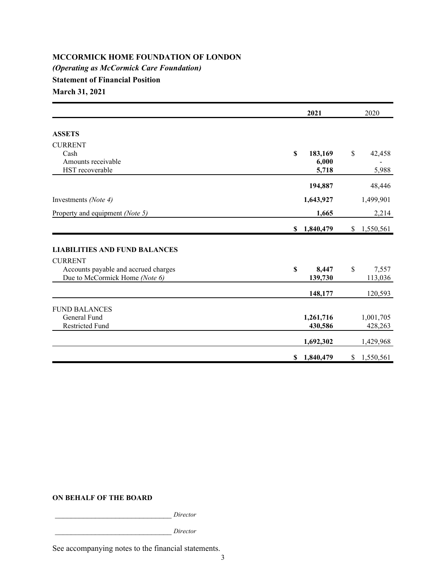## **MCCORMICK HOME FOUNDATION OF LONDON** *(Operating as McCormick Care Foundation)* **Statement of Financial Position March 31, 2021**

|                                                                        | 2021                   | 2020                   |
|------------------------------------------------------------------------|------------------------|------------------------|
| <b>ASSETS</b>                                                          |                        |                        |
| <b>CURRENT</b>                                                         |                        |                        |
| Cash                                                                   | \$<br>183,169          | \$<br>42,458           |
| Amounts receivable                                                     | 6,000                  |                        |
| HST recoverable                                                        | 5,718                  | 5,988                  |
|                                                                        | 194,887                | 48,446                 |
| Investments (Note 4)                                                   | 1,643,927              | 1,499,901              |
|                                                                        |                        |                        |
| Property and equipment (Note 5)                                        | 1,665                  | 2,214                  |
|                                                                        | \$1,840,479            | \$1,550,561            |
| <b>LIABILITIES AND FUND BALANCES</b>                                   |                        |                        |
| <b>CURRENT</b>                                                         |                        |                        |
| Accounts payable and accrued charges<br>Due to McCormick Home (Note 6) | \$<br>8,447<br>139,730 | \$<br>7,557<br>113,036 |
|                                                                        |                        |                        |
|                                                                        | 148,177                | 120,593                |
| <b>FUND BALANCES</b>                                                   |                        |                        |
| General Fund                                                           |                        |                        |
|                                                                        | 1,261,716              | 1,001,705              |
| <b>Restricted Fund</b>                                                 | 430,586                | 428,263                |
|                                                                        | 1,692,302              | 1,429,968              |
|                                                                        | \$1,840,479            | \$1,550,561            |

## **ON BEHALF OF THE BOARD**

\_\_\_\_\_\_\_\_\_\_\_\_\_\_\_\_\_\_\_\_\_\_\_\_\_\_\_\_\_ *Director*

\_\_\_\_\_\_\_\_\_\_\_\_\_\_\_\_\_\_\_\_\_\_\_\_\_\_\_\_\_ *Director*

See accompanying notes to the financial statements.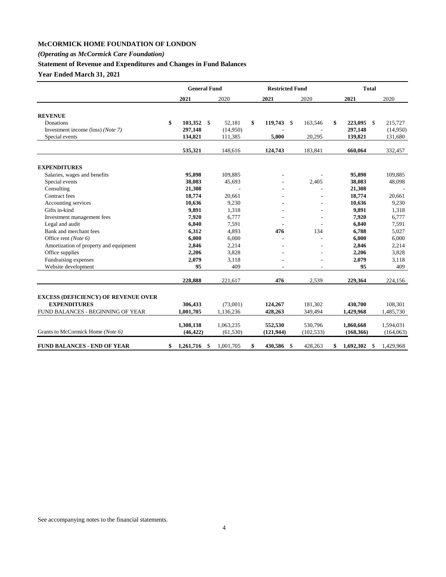## **McCORMICK HOME FOUNDATION OF LONDON**

## *(Operating as McCormick Care Foundation)*

## **Statement of Revenue and Expenditures and Changes in Fund Balances**

**Year Ended March 31, 2021**

|                                            |                 | <b>General Fund</b> |           | <b>Restricted Fund</b> |    |            | <b>Total</b> |                  |            |
|--------------------------------------------|-----------------|---------------------|-----------|------------------------|----|------------|--------------|------------------|------------|
|                                            | 2021            |                     | 2020      | 2021                   |    | 2020       |              | 2021             | 2020       |
|                                            |                 |                     |           |                        |    |            |              |                  |            |
| <b>REVENUE</b>                             |                 |                     |           |                        |    |            |              |                  |            |
| Donations                                  | \$              | 103,352 \$          | 52,181    | \$<br>119,743 \$       |    | 163,546    | \$           | 223,095 \$       | 215,727    |
| Investment income (loss) (Note 7)          | 297,148         |                     | (14,950)  |                        |    |            |              | 297,148          | (14,950)   |
| Special events                             | 134,821         |                     | 111,385   | 5,000                  |    | 20,295     |              | 139,821          | 131,680    |
|                                            | 535,321         |                     | 148,616   | 124,743                |    | 183,841    |              | 660,064          | 332,457    |
| <b>EXPENDITURES</b>                        |                 |                     |           |                        |    |            |              |                  |            |
| Salaries, wages and benefits               | 95,898          |                     | 109,885   |                        |    |            |              | 95,898           | 109,885    |
| Special events                             | 38,083          |                     | 45,693    |                        |    | 2,405      |              | 38,083           | 48,098     |
| Consulting                                 | 21,308          |                     |           |                        |    |            |              | 21,308           |            |
| Contract fees                              | 18,774          |                     | 20,661    |                        |    |            |              | 18,774           | 20,661     |
| Accounting services                        | 10,636          |                     | 9,230     |                        |    |            |              | 10,636           | 9,230      |
| Gifts in-kind                              | 9,891           |                     | 1,318     |                        |    |            |              | 9,891            | 1,318      |
| Investment management fees                 | 7,920           |                     | 6,777     |                        |    |            |              | 7,920            | 6,777      |
| Legal and audit                            | 6,840           |                     | 7,591     |                        |    |            |              | 6,840            | 7,591      |
| Bank and merchant fees                     | 6,312           |                     | 4,893     | 476                    |    | 134        |              | 6,788            | 5,027      |
| Office rent (Note 6)                       | 6,000           |                     | 6,000     |                        |    |            |              | 6,000            | 6,000      |
| Amortization of property and equipment     |                 | 2,846               | 2,214     |                        |    |            |              | 2,846            | 2,214      |
| Office supplies                            |                 | 2,206               | 3,828     |                        |    |            |              | 2,206            | 3,828      |
| Fundraising expenses                       | 2,079           |                     | 3,118     |                        |    |            |              | 2,079            | 3,118      |
| Website development                        |                 | 95                  | 409       |                        |    |            |              | 95               | 409        |
|                                            | 228,888         |                     | 221,617   | 476                    |    | 2,539      |              | 229,364          | 224,156    |
| <b>EXCESS (DEFICIENCY) OF REVENUE OVER</b> |                 |                     |           |                        |    |            |              |                  |            |
| <b>EXPENDITURES</b>                        | 306,433         |                     | (73,001)  | 124,267                |    | 181,302    |              | 430,700          | 108,301    |
| FUND BALANCES - BEGINNING OF YEAR          | 1,001,705       |                     | 1,136,236 | 428,263                |    | 349,494    |              | 1,429,968        | 1,485,730  |
|                                            | 1,308,138       |                     | 1,063,235 | 552,530                |    | 530,796    |              | 1,860,668        | 1,594,031  |
| Grants to McCormick Home (Note 6)          | (46, 422)       |                     | (61, 530) | (121, 944)             |    | (102, 533) |              | (168, 366)       | (164, 063) |
| <b>FUND BALANCES - END OF YEAR</b>         | \$<br>1,261,716 | <sup>\$</sup>       | 1.001.705 | \$<br>430,586          | \$ | 428,263    | \$           | 1,692,302<br>\$. | 1.429.968  |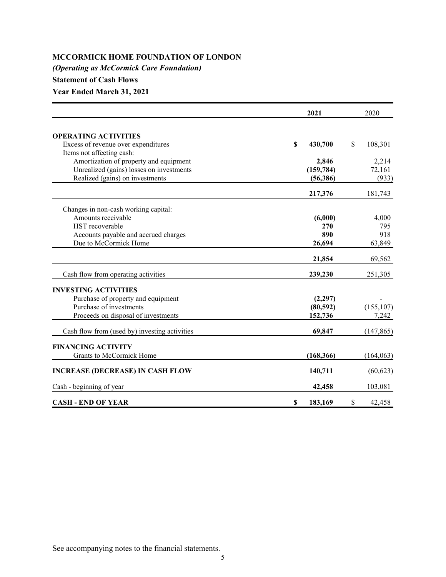## **MCCORMICK HOME FOUNDATION OF LONDON**

*(Operating as McCormick Care Foundation)*

## **Statement of Cash Flows**

**Year Ended March 31, 2021**

|                                               |    | 2021       |    |            |
|-----------------------------------------------|----|------------|----|------------|
|                                               |    |            |    |            |
| <b>OPERATING ACTIVITIES</b>                   |    |            |    |            |
| Excess of revenue over expenditures           | S  | 430,700    | \$ | 108,301    |
| Items not affecting cash:                     |    |            |    |            |
| Amortization of property and equipment        |    | 2,846      |    | 2,214      |
| Unrealized (gains) losses on investments      |    | (159, 784) |    | 72,161     |
| Realized (gains) on investments               |    | (56, 386)  |    | (933)      |
|                                               |    | 217,376    |    | 181,743    |
| Changes in non-cash working capital:          |    |            |    |            |
| Amounts receivable                            |    | (6,000)    |    | 4,000      |
| HST recoverable                               |    | 270        |    | 795        |
| Accounts payable and accrued charges          |    | 890        |    | 918        |
| Due to McCormick Home                         |    | 26,694     |    | 63,849     |
|                                               |    | 21,854     |    | 69,562     |
| Cash flow from operating activities           |    | 239,230    |    | 251,305    |
| <b>INVESTING ACTIVITIES</b>                   |    |            |    |            |
| Purchase of property and equipment            |    | (2, 297)   |    |            |
| Purchase of investments                       |    | (80, 592)  |    | (155, 107) |
| Proceeds on disposal of investments           |    | 152,736    |    | 7,242      |
|                                               |    |            |    |            |
| Cash flow from (used by) investing activities |    | 69,847     |    | (147, 865) |
| <b>FINANCING ACTIVITY</b>                     |    |            |    |            |
| Grants to McCormick Home                      |    | (168, 366) |    | (164, 063) |
| <b>INCREASE (DECREASE) IN CASH FLOW</b>       |    | 140,711    |    | (60, 623)  |
| Cash - beginning of year                      |    | 42,458     |    | 103,081    |
| <b>CASH - END OF YEAR</b>                     | \$ | 183,169    | \$ | 42,458     |

See accompanying notes to the financial statements.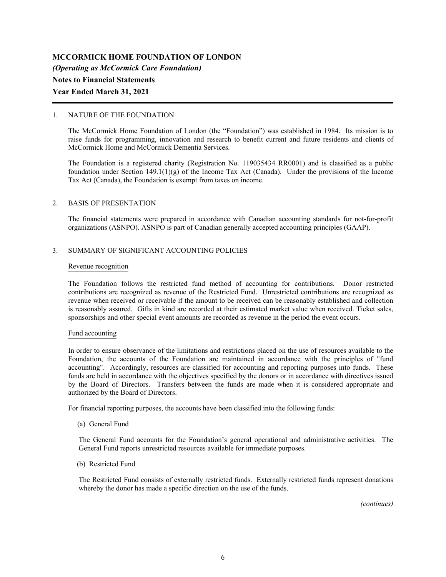## 1. NATURE OF THE FOUNDATION

The McCormick Home Foundation of London (the "Foundation") was established in 1984. Its mission is to raise funds for programming, innovation and research to benefit current and future residents and clients of McCormick Home and McCormick Dementia Services.

The Foundation is a registered charity (Registration No. 119035434 RR0001) and is classified as a public foundation under Section 149.1(1)(g) of the Income Tax Act (Canada). Under the provisions of the Income Tax Act (Canada), the Foundation is exempt from taxes on income.

## 2. BASIS OF PRESENTATION

The financial statements were prepared in accordance with Canadian accounting standards for not-for-profit organizations (ASNPO). ASNPO is part of Canadian generally accepted accounting principles (GAAP).

## 3. SUMMARY OF SIGNIFICANT ACCOUNTING POLICIES

### Revenue recognition

The Foundation follows the restricted fund method of accounting for contributions. Donor restricted contributions are recognized as revenue of the Restricted Fund. Unrestricted contributions are recognized as revenue when received or receivable if the amount to be received can be reasonably established and collection is reasonably assured. Gifts in kind are recorded at their estimated market value when received. Ticket sales, sponsorships and other special event amounts are recorded as revenue in the period the event occurs.

## Fund accounting

In order to ensure observance of the limitations and restrictions placed on the use of resources available to the Foundation, the accounts of the Foundation are maintained in accordance with the principles of "fund accounting". Accordingly, resources are classified for accounting and reporting purposes into funds. These funds are held in accordance with the objectives specified by the donors or in accordance with directives issued by the Board of Directors. Transfers between the funds are made when it is considered appropriate and authorized by the Board of Directors.

For financial reporting purposes, the accounts have been classified into the following funds:

(a) General Fund

The General Fund accounts for the Foundation's general operational and administrative activities. The General Fund reports unrestricted resources available for immediate purposes.

(b) Restricted Fund

The Restricted Fund consists of externally restricted funds. Externally restricted funds represent donations whereby the donor has made a specific direction on the use of the funds.

*(continues)*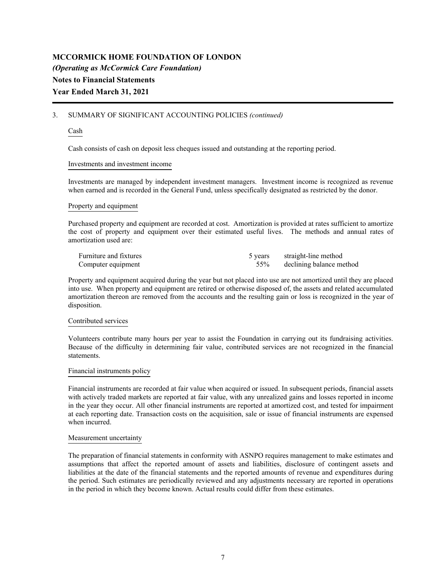## 3. SUMMARY OF SIGNIFICANT ACCOUNTING POLICIES *(continued)*

## Cash

Cash consists of cash on deposit less cheques issued and outstanding at the reporting period.

## Investments and investment income

Investments are managed by independent investment managers. Investment income is recognized as revenue when earned and is recorded in the General Fund, unless specifically designated as restricted by the donor.

## Property and equipment

Purchased property and equipment are recorded at cost. Amortization is provided at rates sufficient to amortize the cost of property and equipment over their estimated useful lives. The methods and annual rates of amortization used are:

| Furniture and fixtures | 5 years straight-line method |
|------------------------|------------------------------|
| Computer equipment     | 55% declining balance method |

Property and equipment acquired during the year but not placed into use are not amortized until they are placed into use. When property and equipment are retired or otherwise disposed of, the assets and related accumulated amortization thereon are removed from the accounts and the resulting gain or loss is recognized in the year of disposition.

## Contributed services

Volunteers contribute many hours per year to assist the Foundation in carrying out its fundraising activities. Because of the difficulty in determining fair value, contributed services are not recognized in the financial statements.

## Financial instruments policy

Financial instruments are recorded at fair value when acquired or issued. In subsequent periods, financial assets with actively traded markets are reported at fair value, with any unrealized gains and losses reported in income in the year they occur. All other financial instruments are reported at amortized cost, and tested for impairment at each reporting date. Transaction costs on the acquisition, sale or issue of financial instruments are expensed when incurred.

## Measurement uncertainty

The preparation of financial statements in conformity with ASNPO requires management to make estimates and assumptions that affect the reported amount of assets and liabilities, disclosure of contingent assets and liabilities at the date of the financial statements and the reported amounts of revenue and expenditures during the period. Such estimates are periodically reviewed and any adjustments necessary are reported in operations in the period in which they become known. Actual results could differ from these estimates.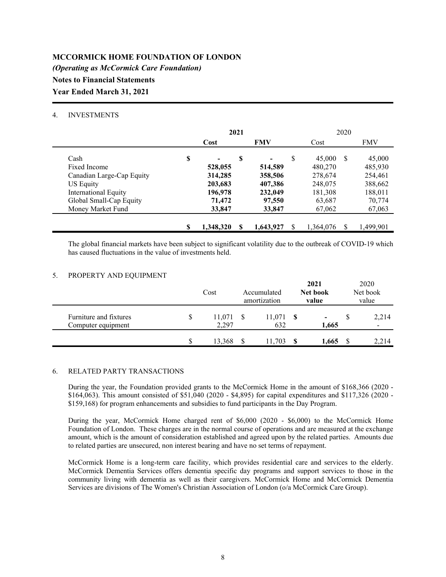## 4. INVESTMENTS

|                             | 2021 |           |    |            |   |           | 2020          |            |
|-----------------------------|------|-----------|----|------------|---|-----------|---------------|------------|
|                             |      | Cost      |    | <b>FMV</b> |   | Cost      |               | <b>FMV</b> |
| Cash                        | \$   |           | \$ |            | S | 45,000    | <sup>\$</sup> | 45,000     |
| Fixed Income                |      | 528,055   |    | 514,589    |   | 480,270   |               | 485,930    |
| Canadian Large-Cap Equity   |      | 314,285   |    | 358,506    |   | 278,674   |               | 254,461    |
| <b>US Equity</b>            |      | 203,683   |    | 407,386    |   | 248,075   |               | 388,662    |
| <b>International Equity</b> |      | 196,978   |    | 232,049    |   | 181,308   |               | 188,011    |
| Global Small-Cap Equity     |      | 71,472    |    | 97,550     |   | 63,687    |               | 70,774     |
| Money Market Fund           |      | 33,847    |    | 33,847     |   | 67,062    |               | 67,063     |
|                             |      |           |    |            |   |           |               |            |
|                             | \$   | 1,348,320 |    | 1,643,927  |   | 1,364,076 | S             | 1,499,901  |

The global financial markets have been subject to significant volatility due to the outbreak of COVID-19 which has caused fluctuations in the value of investments held.

## 5. PROPERTY AND EQUIPMENT

|                                              |    | Cost            | Accumulated<br>amortization |               | 2021<br>Net book<br>value |                         | 2020<br>Net book<br>value         |
|----------------------------------------------|----|-----------------|-----------------------------|---------------|---------------------------|-------------------------|-----------------------------------|
| Furniture and fixtures<br>Computer equipment | \$ | 11,071<br>2.297 | - \$                        | 11,071<br>632 |                           | $\blacksquare$<br>1,665 | 2,214<br>$\overline{\phantom{a}}$ |
|                                              | S  | 13,368          |                             | 11.703        |                           | 1,665                   | 2,214                             |

## 6. RELATED PARTY TRANSACTIONS

During the year, the Foundation provided grants to the McCormick Home in the amount of \$168,366 (2020 - \$164,063). This amount consisted of \$51,040 (2020 - \$4,895) for capital expenditures and \$117,326 (2020 - \$159,168) for program enhancements and subsidies to fund participants in the Day Program.

During the year, McCormick Home charged rent of \$6,000 (2020 - \$6,000) to the McCormick Home Foundation of London. These charges are in the normal course of operations and are measured at the exchange amount, which is the amount of consideration established and agreed upon by the related parties. Amounts due to related parties are unsecured, non interest bearing and have no set terms of repayment.

McCormick Home is a long-term care facility, which provides residential care and services to the elderly. McCormick Dementia Services offers dementia specific day programs and support services to those in the community living with dementia as well as their caregivers. McCormick Home and McCormick Dementia Services are divisions of The Women's Christian Association of London (o/a McCormick Care Group).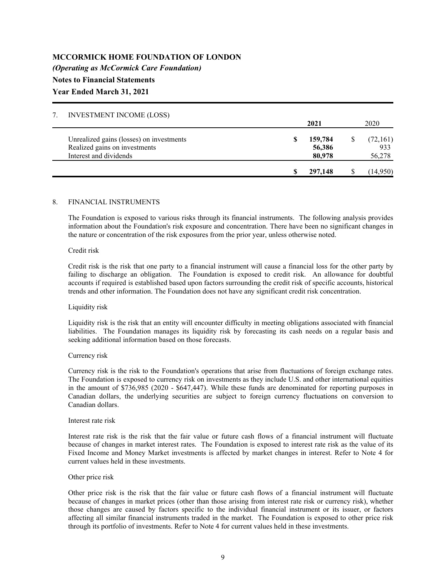| <b>INVESTMENT INCOME (LOSS)</b>          |         |          |
|------------------------------------------|---------|----------|
|                                          | 2021    | 2020     |
| Unrealized gains (losses) on investments | 159,784 | (72,161) |
| Realized gains on investments            | 56,386  | 933      |
| Interest and dividends                   | 80,978  | 56,278   |
|                                          | 297,148 | (14,950) |

## 8. FINANCIAL INSTRUMENTS

The Foundation is exposed to various risks through its financial instruments. The following analysis provides information about the Foundation's risk exposure and concentration. There have been no significant changes in the nature or concentration of the risk exposures from the prior year, unless otherwise noted.

### Credit risk

Credit risk is the risk that one party to a financial instrument will cause a financial loss for the other party by failing to discharge an obligation. The Foundation is exposed to credit risk. An allowance for doubtful accounts if required is established based upon factors surrounding the credit risk of specific accounts, historical trends and other information. The Foundation does not have any significant credit risk concentration.

#### Liquidity risk

Liquidity risk is the risk that an entity will encounter difficulty in meeting obligations associated with financial liabilities. The Foundation manages its liquidity risk by forecasting its cash needs on a regular basis and seeking additional information based on those forecasts.

#### Currency risk

Currency risk is the risk to the Foundation's operations that arise from fluctuations of foreign exchange rates. The Foundation is exposed to currency risk on investments as they include U.S. and other international equities in the amount of \$736,985 (2020 - \$647,447). While these funds are denominated for reporting purposes in Canadian dollars, the underlying securities are subject to foreign currency fluctuations on conversion to Canadian dollars.

#### Interest rate risk

Interest rate risk is the risk that the fair value or future cash flows of a financial instrument will fluctuate because of changes in market interest rates. The Foundation is exposed to interest rate risk as the value of its Fixed Income and Money Market investments is affected by market changes in interest. Refer to Note 4 for current values held in these investments.

#### Other price risk

Other price risk is the risk that the fair value or future cash flows of a financial instrument will fluctuate because of changes in market prices (other than those arising from interest rate risk or currency risk), whether those changes are caused by factors specific to the individual financial instrument or its issuer, or factors affecting all similar financial instruments traded in the market. The Foundation is exposed to other price risk through its portfolio of investments. Refer to Note 4 for current values held in these investments.